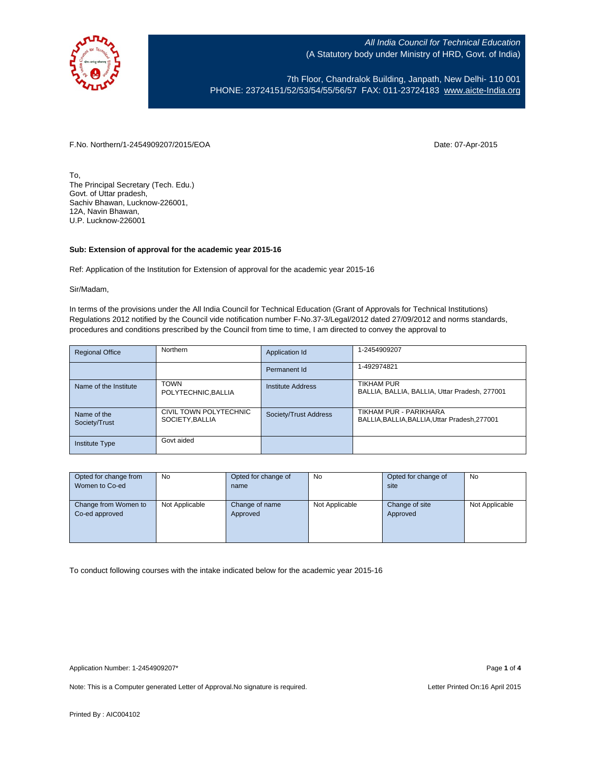

7th Floor, Chandralok Building, Janpath, New Delhi- 110 001 PHONE: 23724151/52/53/54/55/56/57 FAX: 011-23724183 [www.aicte-India.org](http://www.aicte-india.org/)

F.No. Northern/1-2454909207/2015/EOA Date: 07-Apr-2015

To, The Principal Secretary (Tech. Edu.) Govt. of Uttar pradesh, Sachiv Bhawan, Lucknow-226001, 12A, Navin Bhawan, U.P. Lucknow-226001

## **Sub: Extension of approval for the academic year 2015-16**

Ref: Application of the Institution for Extension of approval for the academic year 2015-16

Sir/Madam,

In terms of the provisions under the All India Council for Technical Education (Grant of Approvals for Technical Institutions) Regulations 2012 notified by the Council vide notification number F-No.37-3/Legal/2012 dated 27/09/2012 and norms standards, procedures and conditions prescribed by the Council from time to time, I am directed to convey the approval to

| <b>Regional Office</b>       | Northern                                  | Application Id        | 1-2454909207                                                            |
|------------------------------|-------------------------------------------|-----------------------|-------------------------------------------------------------------------|
|                              |                                           | Permanent Id          | 1-492974821                                                             |
| Name of the Institute        | <b>TOWN</b><br>POLYTECHNIC, BALLIA        | Institute Address     | <b>TIKHAM PUR</b><br>BALLIA, BALLIA, BALLIA, Uttar Pradesh, 277001      |
| Name of the<br>Society/Trust | CIVIL TOWN POLYTECHNIC<br>SOCIETY, BALLIA | Society/Trust Address | TIKHAM PUR - PARIKHARA<br>BALLIA, BALLIA, BALLIA, Uttar Pradesh, 277001 |
| <b>Institute Type</b>        | Govt aided                                |                       |                                                                         |

| Opted for change from | <b>No</b>      | Opted for change of | No             | Opted for change of | <b>No</b>      |
|-----------------------|----------------|---------------------|----------------|---------------------|----------------|
| Women to Co-ed        |                | name                |                | site                |                |
|                       |                |                     |                |                     |                |
| Change from Women to  | Not Applicable | Change of name      | Not Applicable | Change of site      | Not Applicable |
| Co-ed approved        |                | Approved            |                | Approved            |                |
|                       |                |                     |                |                     |                |
|                       |                |                     |                |                     |                |
|                       |                |                     |                |                     |                |

To conduct following courses with the intake indicated below for the academic year 2015-16

Note: This is a Computer generated Letter of Approval. No signature is required. Letter Printed On:16 April 2015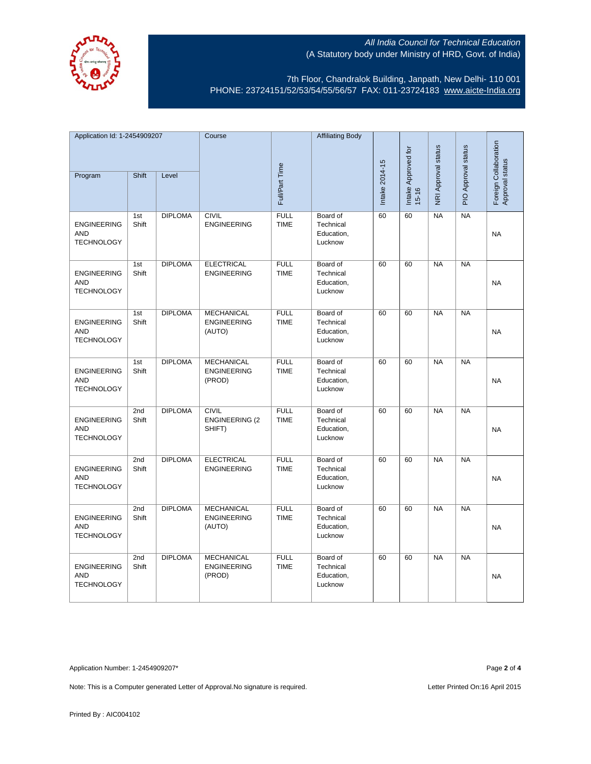

7th Floor, Chandralok Building, Janpath, New Delhi- 110 001 PHONE: 23724151/52/53/54/55/56/57 FAX: 011-23724183 [www.aicte-India.org](http://www.aicte-india.org/)

| Application Id: 1-2454909207                          |              | Course         |                                                   | <b>Affiliating Body</b>    |                                                |                |                                  |                     |                          |                                          |
|-------------------------------------------------------|--------------|----------------|---------------------------------------------------|----------------------------|------------------------------------------------|----------------|----------------------------------|---------------------|--------------------------|------------------------------------------|
| Program                                               | Shift        | Level          |                                                   | Full/Part Time             |                                                | Intake 2014-15 | Intake Approved for<br>$15 - 16$ | NRI Approval status | PIO Approval status      | Foreign Collaboration<br>Approval status |
|                                                       |              |                |                                                   |                            |                                                |                |                                  |                     |                          |                                          |
| <b>ENGINEERING</b><br><b>AND</b><br><b>TECHNOLOGY</b> | 1st<br>Shift | <b>DIPLOMA</b> | <b>CIVIL</b><br><b>ENGINEERING</b>                | <b>FULL</b><br><b>TIME</b> | Board of<br>Technical<br>Education,<br>Lucknow | 60             | 60                               | <b>NA</b>           | <b>NA</b>                | <b>NA</b>                                |
| <b>ENGINEERING</b><br><b>AND</b><br><b>TECHNOLOGY</b> | 1st<br>Shift | <b>DIPLOMA</b> | <b>ELECTRICAL</b><br><b>ENGINEERING</b>           | <b>FULL</b><br><b>TIME</b> | Board of<br>Technical<br>Education,<br>Lucknow | 60             | 60                               | NA                  | NA                       | <b>NA</b>                                |
| <b>ENGINEERING</b><br><b>AND</b><br><b>TECHNOLOGY</b> | 1st<br>Shift | <b>DIPLOMA</b> | <b>MECHANICAL</b><br><b>ENGINEERING</b><br>(AUTO) | <b>FULL</b><br><b>TIME</b> | Board of<br>Technical<br>Education,<br>Lucknow | 60             | 60                               | <b>NA</b>           | $N_A$                    | <b>NA</b>                                |
| <b>ENGINEERING</b><br>AND<br><b>TECHNOLOGY</b>        | 1st<br>Shift | <b>DIPLOMA</b> | <b>MECHANICAL</b><br><b>ENGINEERING</b><br>(PROD) | <b>FULL</b><br><b>TIME</b> | Board of<br>Technical<br>Education,<br>Lucknow | 60             | 60                               | <b>NA</b>           | $\overline{\mathsf{NA}}$ | <b>NA</b>                                |
| <b>ENGINEERING</b><br><b>AND</b><br><b>TECHNOLOGY</b> | 2nd<br>Shift | <b>DIPLOMA</b> | <b>CIVIL</b><br><b>ENGINEERING (2</b><br>SHIFT)   | <b>FULL</b><br><b>TIME</b> | Board of<br>Technical<br>Education,<br>Lucknow | 60             | 60                               | <b>NA</b>           | $N_A$                    | <b>NA</b>                                |
| <b>ENGINEERING</b><br><b>AND</b><br><b>TECHNOLOGY</b> | 2nd<br>Shift | <b>DIPLOMA</b> | <b>ELECTRICAL</b><br><b>ENGINEERING</b>           | <b>FULL</b><br><b>TIME</b> | Board of<br>Technical<br>Education,<br>Lucknow | 60             | 60                               | <b>NA</b>           | $N_A$                    | <b>NA</b>                                |
| <b>ENGINEERING</b><br><b>AND</b><br><b>TECHNOLOGY</b> | 2nd<br>Shift | <b>DIPLOMA</b> | <b>MECHANICAL</b><br><b>ENGINEERING</b><br>(AUTO) | <b>FULL</b><br><b>TIME</b> | Board of<br>Technical<br>Education,<br>Lucknow | 60             | 60                               | <b>NA</b>           | <b>NA</b>                | NA                                       |
| <b>ENGINEERING</b><br><b>AND</b><br><b>TECHNOLOGY</b> | 2nd<br>Shift | <b>DIPLOMA</b> | <b>MECHANICAL</b><br><b>ENGINEERING</b><br>(PROD) | <b>FULL</b><br><b>TIME</b> | Board of<br>Technical<br>Education,<br>Lucknow | 60             | 60                               | NA                  | NA                       | <b>NA</b>                                |

Application Number: 1-2454909207\* Page **2** of **4**

Note: This is a Computer generated Letter of Approval. No signature is required. Letter Printed On:16 April 2015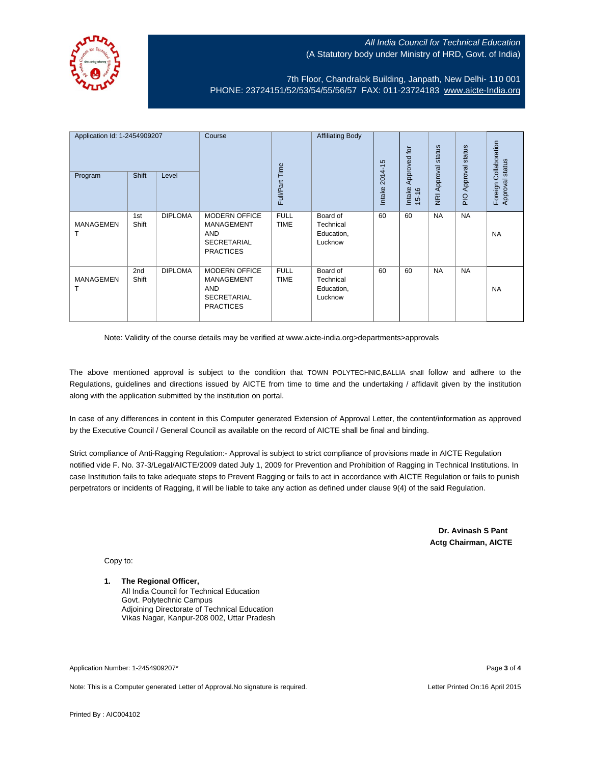

7th Floor, Chandralok Building, Janpath, New Delhi- 110 001 PHONE: 23724151/52/53/54/55/56/57 FAX: 011-23724183 [www.aicte-India.org](http://www.aicte-india.org/)

| Application Id: 1-2454909207<br>Program | <b>Shift</b> | Level          | Course                                                                                            | Full/Part Time             | <b>Affiliating Body</b>                        | $2014 - 15$<br>Intake | Approved for<br>Intake<br>$15 - 16$ | status<br>NRI Approval | status<br>Approval<br><b>DI</b> R | Collaboration<br>Approval status<br>Foreign |
|-----------------------------------------|--------------|----------------|---------------------------------------------------------------------------------------------------|----------------------------|------------------------------------------------|-----------------------|-------------------------------------|------------------------|-----------------------------------|---------------------------------------------|
| <b>MANAGEMEN</b>                        | 1st<br>Shift | <b>DIPLOMA</b> | <b>MODERN OFFICE</b><br><b>MANAGEMENT</b><br><b>AND</b><br><b>SECRETARIAL</b><br><b>PRACTICES</b> | <b>FULL</b><br><b>TIME</b> | Board of<br>Technical<br>Education,<br>Lucknow | 60                    | 60                                  | <b>NA</b>              | <b>NA</b>                         | <b>NA</b>                                   |
| <b>MANAGEMEN</b>                        | 2nd<br>Shift | <b>DIPLOMA</b> | <b>MODERN OFFICE</b><br>MANAGEMENT<br><b>AND</b><br><b>SECRETARIAL</b><br><b>PRACTICES</b>        | <b>FULL</b><br><b>TIME</b> | Board of<br>Technical<br>Education,<br>Lucknow | 60                    | 60                                  | <b>NA</b>              | <b>NA</b>                         | <b>NA</b>                                   |

Note: Validity of the course details may be verified at www.aicte-india.org>departments>approvals

The above mentioned approval is subject to the condition that TOWN POLYTECHNIC,BALLIA shall follow and adhere to the Regulations, guidelines and directions issued by AICTE from time to time and the undertaking / affidavit given by the institution along with the application submitted by the institution on portal.

In case of any differences in content in this Computer generated Extension of Approval Letter, the content/information as approved by the Executive Council / General Council as available on the record of AICTE shall be final and binding.

Strict compliance of Anti-Ragging Regulation:- Approval is subject to strict compliance of provisions made in AICTE Regulation notified vide F. No. 37-3/Legal/AICTE/2009 dated July 1, 2009 for Prevention and Prohibition of Ragging in Technical Institutions. In case Institution fails to take adequate steps to Prevent Ragging or fails to act in accordance with AICTE Regulation or fails to punish perpetrators or incidents of Ragging, it will be liable to take any action as defined under clause 9(4) of the said Regulation.

> **Dr. Avinash S Pant Actg Chairman, AICTE**

Copy to:

## **1. The Regional Officer,**

All India Council for Technical Education Govt. Polytechnic Campus Adjoining Directorate of Technical Education Vikas Nagar, Kanpur-208 002, Uttar Pradesh

Application Number: 1-2454909207\* Page **3** of **4**

Note: This is a Computer generated Letter of Approval.No signature is required. Letter According the state of April 2015